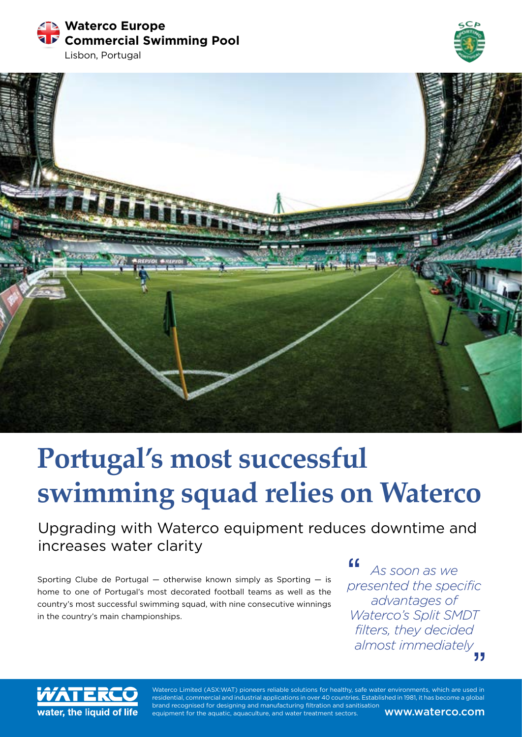**Waterco Europe Commercial Swimming Pool**







# **Portugal's most successful swimming squad relies on Waterco**

Upgrading with Waterco equipment reduces downtime and increases water clarity

Sporting Clube de Portugal — otherwise known simply as Sporting — is home to one of Portugal's most decorated football teams as well as the country's most successful swimming squad, with nine consecutive winnings in the country's main championships.

*As soon as we presented the specific advantages of Waterco's Split SMDT filters, they decided almost immediately*



Waterco Limited (ASX:WAT) pioneers reliable solutions for healthy, safe water environments, which are used in residential, commercial and industrial applications in over 40 countries. Established in 1981, it has become a global brand recognised for designing and manufacturing filtration and sanitisation equipment for the aquatic, aquaculture, and water treatment sectors. **WWW.Waterco.com**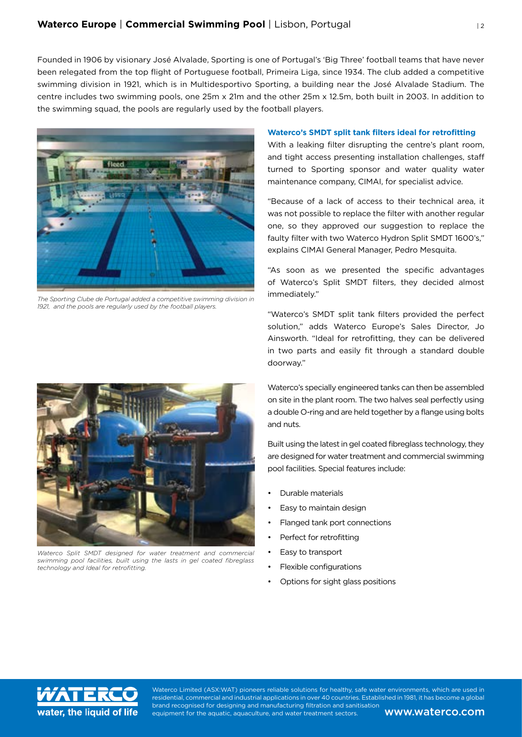Founded in 1906 by visionary José Alvalade, Sporting is one of Portugal's 'Big Three' football teams that have never been relegated from the top flight of Portuguese football, Primeira Liga, since 1934. The club added a competitive swimming division in 1921, which is in Multidesportivo Sporting, a building near the José Alvalade Stadium. The centre includes two swimming pools, one 25m x 21m and the other 25m x 12.5m, both built in 2003. In addition to the swimming squad, the pools are regularly used by the football players.



*The Sporting Clube de Portugal added a competitive swimming division in 1921, and the pools are regularly used by the football players.*

*Waterco Split SMDT designed for water treatment and commercial swimming pool facilities, built using the lasts in gel coated fibreglass technology and Ideal for retrofitting.*

## **Waterco's SMDT split tank filters ideal for retrofitting**

With a leaking filter disrupting the centre's plant room, and tight access presenting installation challenges, staff turned to Sporting sponsor and water quality water maintenance company, CIMAI, for specialist advice.

"Because of a lack of access to their technical area, it was not possible to replace the filter with another regular one, so they approved our suggestion to replace the faulty filter with two Waterco Hydron Split SMDT 1600's," explains CIMAI General Manager, Pedro Mesquita.

"As soon as we presented the specific advantages of Waterco's Split SMDT filters, they decided almost immediately."

"Waterco's SMDT split tank filters provided the perfect solution," adds Waterco Europe's Sales Director, Jo Ainsworth. "Ideal for retrofitting, they can be delivered in two parts and easily fit through a standard double doorway."

Waterco's specially engineered tanks can then be assembled on site in the plant room. The two halves seal perfectly using a double O-ring and are held together by a flange using bolts and nuts.

Built using the latest in gel coated fibreglass technology, they are designed for water treatment and commercial swimming pool facilities. Special features include:

- Durable materials
- Easy to maintain design
- Flanged tank port connections
- Perfect for retrofitting
- Easy to transport
- Flexible configurations
- Options for sight glass positions



Waterco Limited (ASX:WAT) pioneers reliable solutions for healthy, safe water environments, which are used in residential, commercial and industrial applications in over 40 countries. Established in 1981, it has become a global brand recognised for designing and manufacturing filtration and sanitisation equipment for the aquatic, aquaculture, and water treatment sectors. **WWW.Waterco.com**